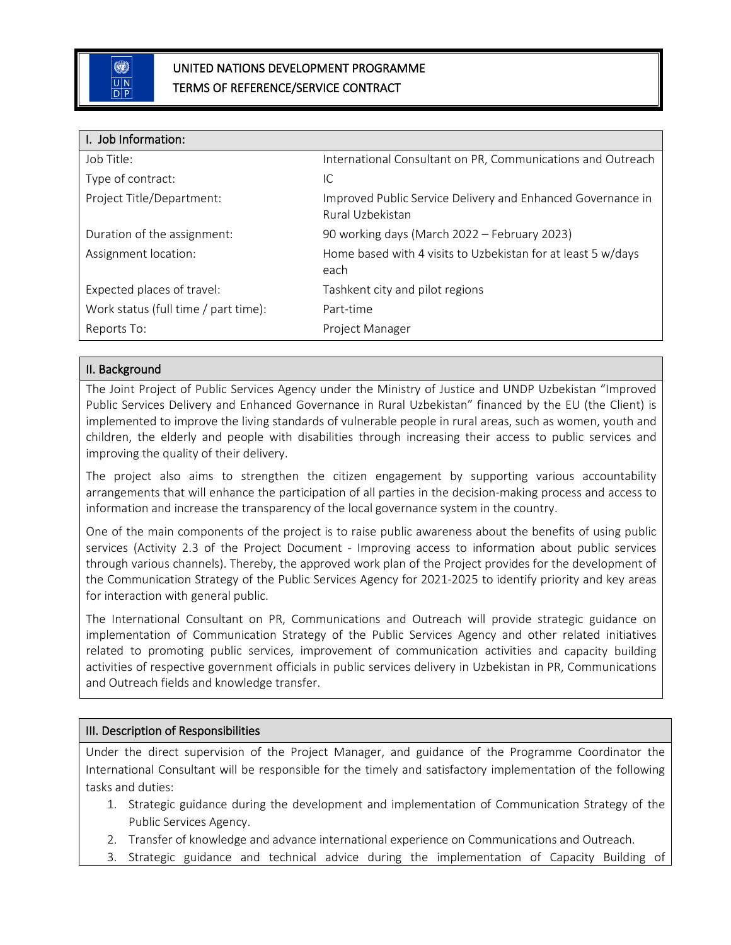# UNITED NATIONS DEVELOPMENT PROGRAMME TERMS OF REFERENCE/SERVICE CONTRACT

| I. Job Information:                  |                                                                                 |
|--------------------------------------|---------------------------------------------------------------------------------|
| Job Title:                           | International Consultant on PR, Communications and Outreach                     |
| Type of contract:                    | IC                                                                              |
| Project Title/Department:            | Improved Public Service Delivery and Enhanced Governance in<br>Rural Uzbekistan |
| Duration of the assignment:          | 90 working days (March 2022 - February 2023)                                    |
| Assignment location:                 | Home based with 4 visits to Uzbekistan for at least 5 w/days<br>each            |
| Expected places of travel:           | Tashkent city and pilot regions                                                 |
| Work status (full time / part time): | Part-time                                                                       |
| Reports To:                          | Project Manager                                                                 |

## II. Background

The Joint Project of Public Services Agency under the Ministry of Justice and UNDP Uzbekistan "Improved Public Services Delivery and Enhanced Governance in Rural Uzbekistan" financed by the EU (the Client) is implemented to improve the living standards of vulnerable people in rural areas, such as women, youth and children, the elderly and people with disabilities through increasing their access to public services and improving the quality of their delivery.

The project also aims to strengthen the citizen engagement by supporting various accountability arrangements that will enhance the participation of all parties in the decision-making process and access to information and increase the transparency of the local governance system in the country.

One of the main components of the project is to raise public awareness about the benefits of using public services (Activity 2.3 of the Project Document - Improving access to information about public services through various channels). Thereby, the approved work plan of the Project provides for the development of the Communication Strategy of the Public Services Agency for 2021-2025 to identify priority and key areas for interaction with general public.

The International Consultant on PR, Communications and Outreach will provide strategic guidance on implementation of Communication Strategy of the Public Services Agency and other related initiatives related to promoting public services, improvement of communication activities and capacity building activities of respective government officials in public services delivery in Uzbekistan in PR, Communications and Outreach fields and knowledge transfer.

### III. Description of Responsibilities

Under the direct supervision of the Project Manager, and guidance of the Programme Coordinator the International Consultant will be responsible for the timely and satisfactory implementation of the following tasks and duties:

- 1. Strategic guidance during the development and implementation of Communication Strategy of the Public Services Agency.
- 2. Transfer of knowledge and advance international experience on Communications and Outreach.
- 3. Strategic guidance and technical advice during the implementation of Capacity Building of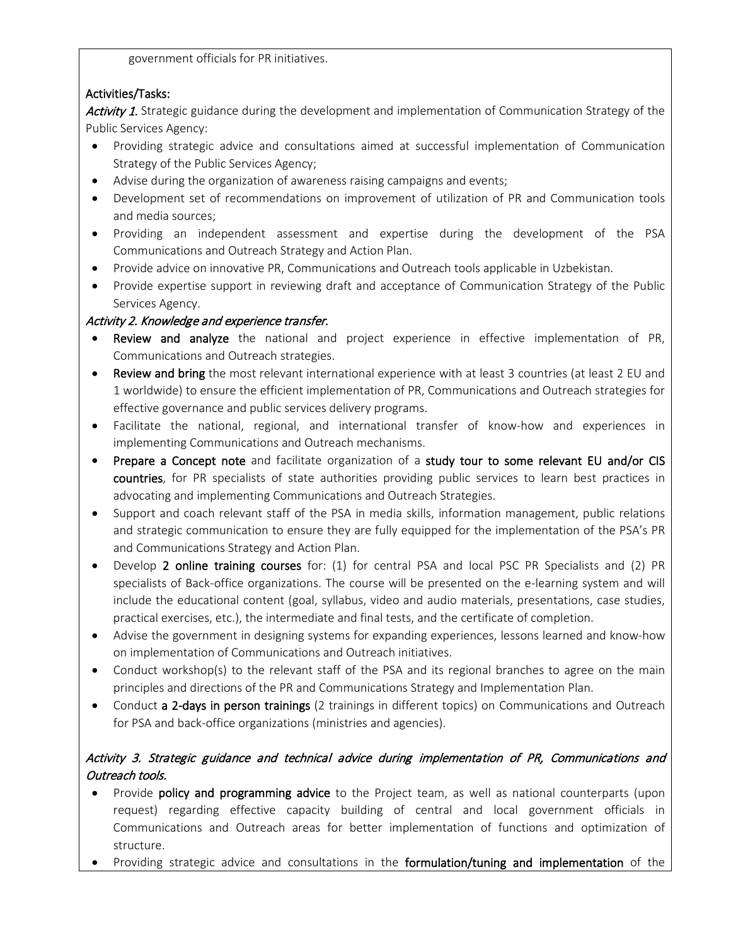government officials for PR initiatives.

# Activities/Tasks:

Activity 1. Strategic guidance during the development and implementation of Communication Strategy of the Public Services Agency:

- Providing strategic advice and consultations aimed at successful implementation of Communication Strategy of the Public Services Agency;
- Advise during the organization of awareness raising campaigns and events;
- Development set of recommendations on improvement of utilization of PR and Communication tools and media sources;
- Providing an independent assessment and expertise during the development of the PSA Communications and Outreach Strategy and Action Plan.
- Provide advice on innovative PR, Communications and Outreach tools applicable in Uzbekistan.
- Provide expertise support in reviewing draft and acceptance of Communication Strategy of the Public Services Agency.

# Activity 2. Knowledge and experience transfer.

- Review and analyze the national and project experience in effective implementation of PR, Communications and Outreach strategies.
- Review and bring the most relevant international experience with at least 3 countries (at least 2 EU and 1 worldwide) to ensure the efficient implementation of PR, Communications and Outreach strategies for effective governance and public services delivery programs.
- Facilitate the national, regional, and international transfer of know-how and experiences in implementing Communications and Outreach mechanisms.
- Prepare a Concept note and facilitate organization of a study tour to some relevant EU and/or CIS countries, for PR specialists of state authorities providing public services to learn best practices in advocating and implementing Communications and Outreach Strategies.
- Support and coach relevant staff of the PSA in media skills, information management, public relations and strategic communication to ensure they are fully equipped for the implementation of the PSA's PR and Communications Strategy and Action Plan.
- Develop 2 online training courses for: (1) for central PSA and local PSC PR Specialists and (2) PR specialists of Back-office organizations. The course will be presented on the e-learning system and will include the educational content (goal, syllabus, video and audio materials, presentations, case studies, practical exercises, etc.), the intermediate and final tests, and the certificate of completion.
- Advise the government in designing systems for expanding experiences, lessons learned and know-how on implementation of Communications and Outreach initiatives.
- Conduct workshop(s) to the relevant staff of the PSA and its regional branches to agree on the main principles and directions of the PR and Communications Strategy and Implementation Plan.
- Conduct a 2-days in person trainings (2 trainings in different topics) on Communications and Outreach for PSA and back-office organizations (ministries and agencies).

# Activity 3. Strategic guidance and technical advice during implementation of PR, Communications and Outreach tools.

- Provide policy and programming advice to the Project team, as well as national counterparts (upon request) regarding effective capacity building of central and local government officials in Communications and Outreach areas for better implementation of functions and optimization of structure.
- Providing strategic advice and consultations in the formulation/tuning and implementation of the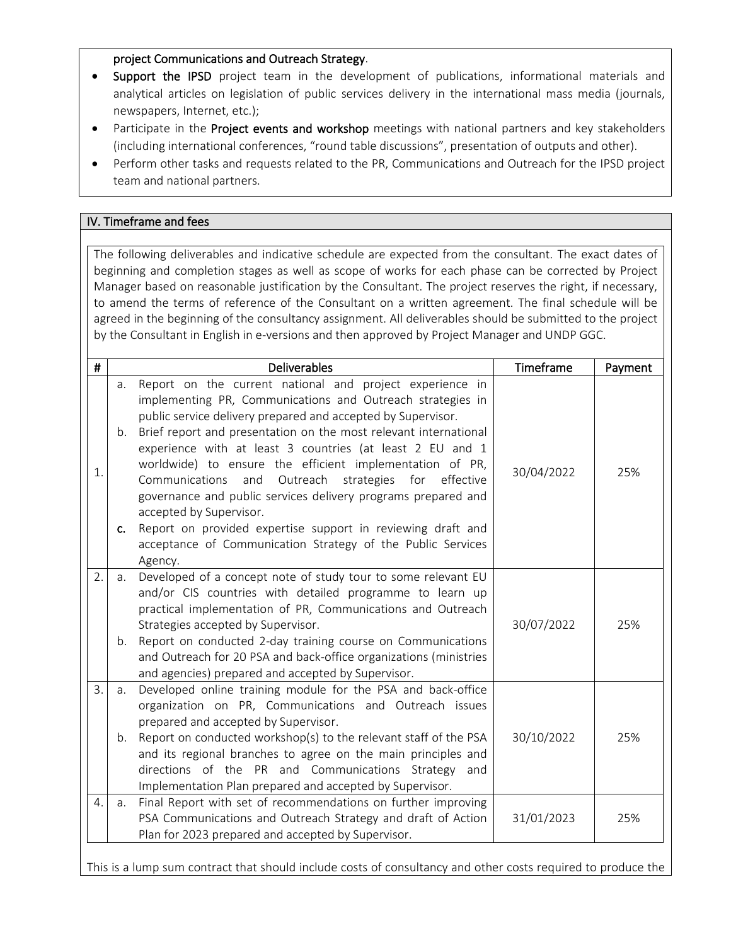#### project Communications and Outreach Strategy.

- Support the IPSD project team in the development of publications, informational materials and analytical articles on legislation of public services delivery in the international mass media (journals, newspapers, Internet, etc.);
- Participate in the Project events and workshop meetings with national partners and key stakeholders (including international conferences, "round table discussions", presentation of outputs and other).
- Perform other tasks and requests related to the PR, Communications and Outreach for the IPSD project team and national partners.

#### IV. Timeframe and fees

The following deliverables and indicative schedule are expected from the consultant. The exact dates of beginning and completion stages as well as scope of works for each phase can be corrected by Project Manager based on reasonable justification by the Consultant. The project reserves the right, if necessary, to amend the terms of reference of the Consultant on a written agreement. The final schedule will be agreed in the beginning of the consultancy assignment. All deliverables should be submitted to the project by the Consultant in English in e-versions and then approved by Project Manager and UNDP GGC.

| #  | <b>Deliverables</b>     |                                                                                                                                                                                                                                                                                                                                                                                                                                                                                                                                                                                                                                                                                                 | Timeframe  | Payment |
|----|-------------------------|-------------------------------------------------------------------------------------------------------------------------------------------------------------------------------------------------------------------------------------------------------------------------------------------------------------------------------------------------------------------------------------------------------------------------------------------------------------------------------------------------------------------------------------------------------------------------------------------------------------------------------------------------------------------------------------------------|------------|---------|
| 1. | a.<br>b.<br>$C_{\cdot}$ | Report on the current national and project experience in<br>implementing PR, Communications and Outreach strategies in<br>public service delivery prepared and accepted by Supervisor.<br>Brief report and presentation on the most relevant international<br>experience with at least 3 countries (at least 2 EU and 1<br>worldwide) to ensure the efficient implementation of PR,<br>Outreach<br>strategies<br>for<br>effective<br>Communications<br>and<br>governance and public services delivery programs prepared and<br>accepted by Supervisor.<br>Report on provided expertise support in reviewing draft and<br>acceptance of Communication Strategy of the Public Services<br>Agency. | 30/04/2022 | 25%     |
| 2. | $a_{\cdot}$<br>b.       | Developed of a concept note of study tour to some relevant EU<br>and/or CIS countries with detailed programme to learn up<br>practical implementation of PR, Communications and Outreach<br>Strategies accepted by Supervisor.<br>Report on conducted 2-day training course on Communications<br>and Outreach for 20 PSA and back-office organizations (ministries<br>and agencies) prepared and accepted by Supervisor.                                                                                                                                                                                                                                                                        | 30/07/2022 | 25%     |
| 3. | a.<br>b.                | Developed online training module for the PSA and back-office<br>organization on PR, Communications and Outreach issues<br>prepared and accepted by Supervisor.<br>Report on conducted workshop(s) to the relevant staff of the PSA<br>and its regional branches to agree on the main principles and<br>directions of the PR and Communications Strategy<br>and<br>Implementation Plan prepared and accepted by Supervisor.                                                                                                                                                                                                                                                                      | 30/10/2022 | 25%     |
| 4. | a.                      | Final Report with set of recommendations on further improving<br>PSA Communications and Outreach Strategy and draft of Action<br>Plan for 2023 prepared and accepted by Supervisor.                                                                                                                                                                                                                                                                                                                                                                                                                                                                                                             | 31/01/2023 | 25%     |

This is a lump sum contract that should include costs of consultancy and other costs required to produce the